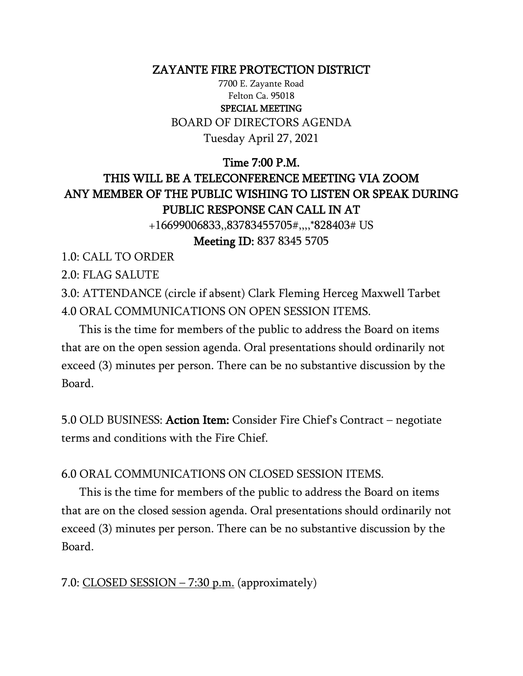#### ZAYANTE FIRE PROTECTION DISTRICT

7700 E. Zayante Road Felton Ca. 95018 SPECIAL MEETING BOARD OF DIRECTORS AGENDA Tuesday April 27, 2021

## Time 7:00 P.M. THIS WILL BE A TELECONFERENCE MEETING VIA ZOOM ANY MEMBER OF THE PUBLIC WISHING TO LISTEN OR SPEAK DURING PUBLIC RESPONSE CAN CALL IN AT

+16699006833,,83783455705#,,,,\*828403# US

Meeting ID: 837 8345 5705

1.0: CALL TO ORDER

2.0: FLAG SALUTE

3.0: ATTENDANCE (circle if absent) Clark Fleming Herceg Maxwell Tarbet 4.0 ORAL COMMUNICATIONS ON OPEN SESSION ITEMS.

 This is the time for members of the public to address the Board on items that are on the open session agenda. Oral presentations should ordinarily not exceed (3) minutes per person. There can be no substantive discussion by the Board.

5.0 OLD BUSINESS: Action Item: Consider Fire Chief's Contract – negotiate terms and conditions with the Fire Chief.

6.0 ORAL COMMUNICATIONS ON CLOSED SESSION ITEMS.

 This is the time for members of the public to address the Board on items that are on the closed session agenda. Oral presentations should ordinarily not exceed (3) minutes per person. There can be no substantive discussion by the Board.

#### 7.0: CLOSED SESSION – 7:30 p.m. (approximately)